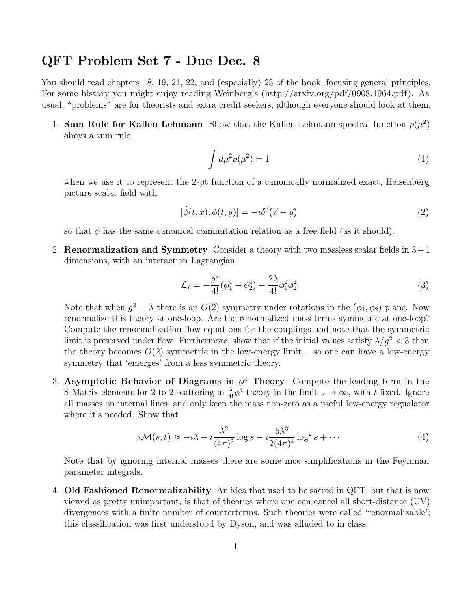## QFT Problem Set 7 - Due Dec. 8

You should read chapters 18, 19, 21, 22, and (especially) 23 of the book, focusing general principles. For some history you might enjoy reading Weinberg's (http://arxiv.org/pdf/0908.1964.pdf). As usual, \*problems\* are for theorists and extra credit seekers, although everyone should look at them.

1. Sum Rule for Kallen-Lehmann Show that the Kallen-Lehmann spectral function  $\rho(\mu^2)$ obeys a sum rule

$$
\int d\mu^2 \rho(\mu^2) = 1 \tag{1}
$$

when we use it to represent the 2-pt function of a canonically normalized exact, Heisenberg picture scalar field with

$$
[\dot{\phi}(t,x), \phi(t,y)] = -i\delta^3(\vec{x} - \vec{y})\tag{2}
$$

so that  $\phi$  has the same canonical commutation relation as a free field (as it should).

2. **Renormalization and Symmetry** Consider a theory with two massless scalar fields in  $3+1$ dimensions, with an interaction Lagrangian

$$
\mathcal{L}_I = -\frac{g^2}{4!}(\phi_1^4 + \phi_2^4) - \frac{2\lambda}{4!}\phi_1^2\phi_2^2 \tag{3}
$$

Note that when  $g^2 = \lambda$  there is an  $O(2)$  symmetry under rotations in the  $(\phi_1, \phi_2)$  plane. Now renormalize this theory at one-loop. Are the renormalized mass terms symmetric at one-loop? Compute the renormalization flow equations for the couplings and note that the symmetric limit is preserved under flow. Furthermore, show that if the initial values satisfy  $\lambda/g^2 < 3$  then the theory becomes  $O(2)$  symmetric in the low-energy limit... so one can have a low-energy symmetry that 'emerges' from a less symmetric theory.

3. Asymptotic Behavior of Diagrams in  $\phi^4$  Theory Compute the leading term in the S-Matrix elements for 2-to-2 scattering in  $\frac{\lambda}{4!} \phi^4$  theory in the limit  $s \to \infty$ , with t fixed. Ignore all masses on internal lines, and only keep the mass non-zero as a useful low-energy regualator where it's needed. Show that

$$
i\mathcal{M}(s,t) \approx -i\lambda - i\frac{\lambda^2}{(4\pi)^2} \log s - i\frac{5\lambda^3}{2(4\pi)^4} \log^2 s + \cdots
$$
 (4)

Note that by ignoring internal masses there are some nice simplifications in the Feynman parameter integrals.

4. Old Fashioned Renormalizability An idea that used to be sacred in QFT, but that is now viewed as pretty unimportant, is that of theories where one can cancel all short-distance (UV) divergences with a finite number of counterterms. Such theories were called 'renormalizable'; this classification was first understood by Dyson, and was alluded to in class.